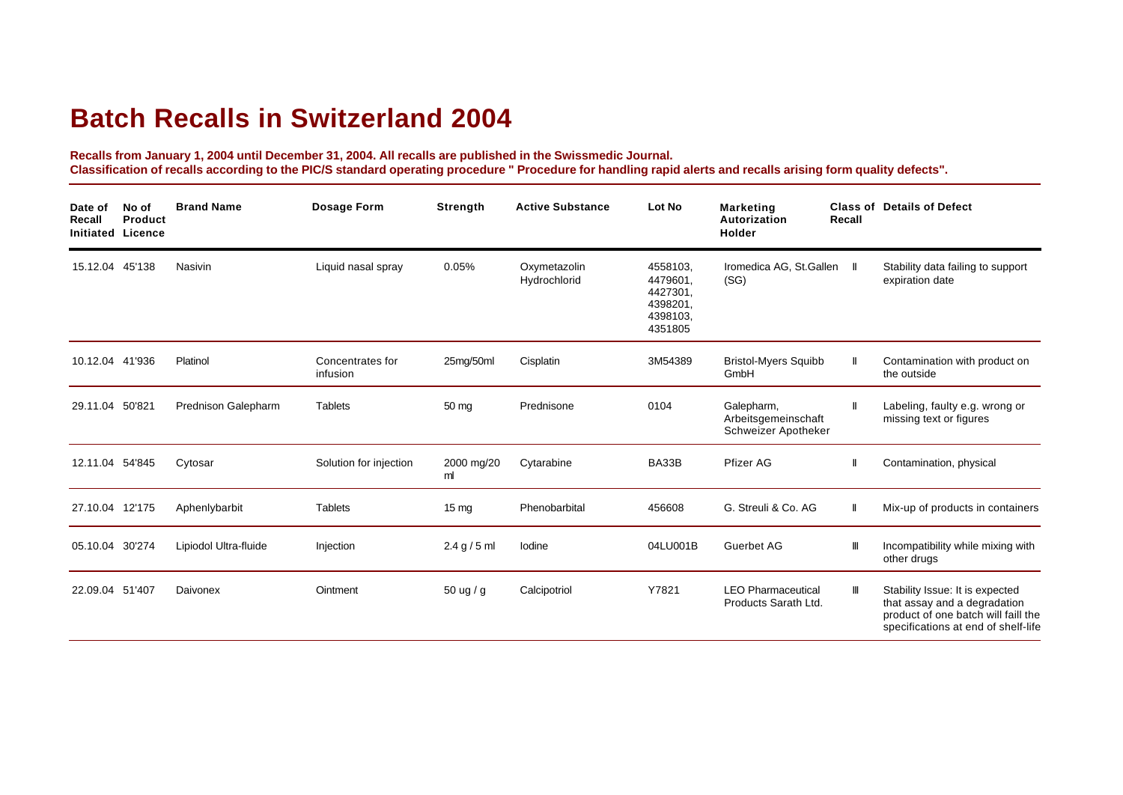## **Batch Recalls in Switzerland 2004**

**Recalls from January 1, 2004 until December 31, 2004. All recalls are published in the Swissmedic Journal. Classification of recalls according to the PIC/S standard operating procedure " Procedure for handling rapid alerts and recalls arising form quality defects".**

| Date of<br>Recall<br>Initiated Licence | No of<br>Product | <b>Brand Name</b>     | Dosage Form                  | Strength         | <b>Active Substance</b>      | Lot No                                                              | <b>Marketing</b><br>Autorization<br><b>Holder</b>        | <b>Class of</b><br>Recall | <b>Details of Defect</b>                                                                                                                      |
|----------------------------------------|------------------|-----------------------|------------------------------|------------------|------------------------------|---------------------------------------------------------------------|----------------------------------------------------------|---------------------------|-----------------------------------------------------------------------------------------------------------------------------------------------|
| 15.12.04                               | 45'138           | Nasivin               | Liquid nasal spray           | 0.05%            | Oxymetazolin<br>Hydrochlorid | 4558103.<br>4479601.<br>4427301.<br>4398201.<br>4398103.<br>4351805 | Iromedica AG, St.Gallen<br>(SG)                          | Ш                         | Stability data failing to support<br>expiration date                                                                                          |
| 10.12.04 41'936                        |                  | Platinol              | Concentrates for<br>infusion | 25mg/50ml        | Cisplatin                    | 3M54389                                                             | <b>Bristol-Myers Squibb</b><br>GmbH                      | $\mathbf{I}$              | Contamination with product on<br>the outside                                                                                                  |
| 29.11.04 50'821                        |                  | Prednison Galepharm   | <b>Tablets</b>               | 50 mg            | Prednisone                   | 0104                                                                | Galepharm,<br>Arbeitsgemeinschaft<br>Schweizer Apotheker | Ш                         | Labeling, faulty e.g. wrong or<br>missing text or figures                                                                                     |
| 12.11.04 54'845                        |                  | Cytosar               | Solution for injection       | 2000 mg/20<br>ml | Cytarabine                   | BA33B                                                               | Pfizer AG                                                | $\mathbf{I}$              | Contamination, physical                                                                                                                       |
| 27.10.04 12'175                        |                  | Aphenlybarbit         | <b>Tablets</b>               | $15 \text{ mg}$  | Phenobarbital                | 456608                                                              | G. Streuli & Co. AG                                      | $\mathsf{I}$              | Mix-up of products in containers                                                                                                              |
| 05.10.04 30'274                        |                  | Lipiodol Ultra-fluide | Injection                    | 2.4 g / 5 ml     | lodine                       | 04LU001B                                                            | Guerbet AG                                               | Ш                         | Incompatibility while mixing with<br>other drugs                                                                                              |
| 22.09.04 51'407                        |                  | Daivonex              | Ointment                     | 50 ug / g        | Calcipotriol                 | Y7821                                                               | <b>LEO Pharmaceutical</b><br>Products Sarath Ltd.        | Ш                         | Stability Issue: It is expected<br>that assay and a degradation<br>product of one batch will faill the<br>specifications at end of shelf-life |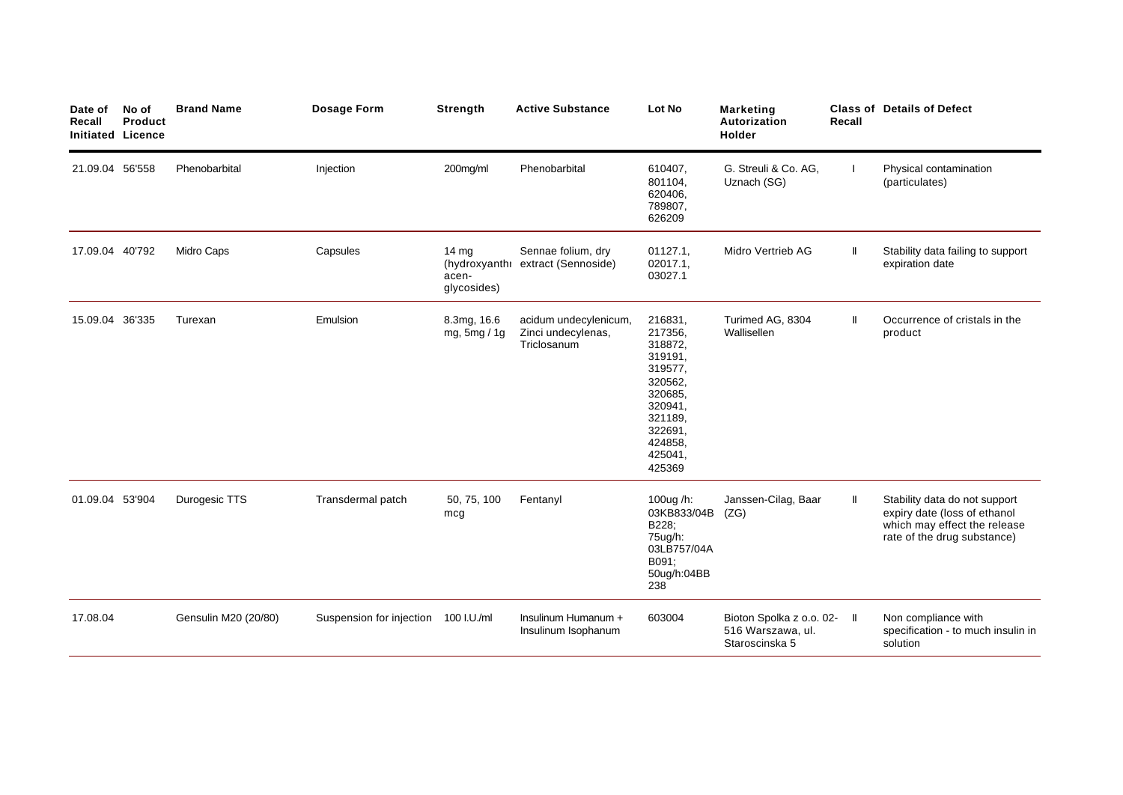| Date of<br>Recall<br><b>Initiated Licence</b> | No of<br>Product | <b>Brand Name</b>    | <b>Dosage Form</b>       | <b>Strength</b>                 | <b>Active Substance</b>                                    | Lot No                                                                                                                                     | Marketing<br>Autorization<br>Holder                                | Recall | <b>Class of Details of Defect</b>                                                                                            |
|-----------------------------------------------|------------------|----------------------|--------------------------|---------------------------------|------------------------------------------------------------|--------------------------------------------------------------------------------------------------------------------------------------------|--------------------------------------------------------------------|--------|------------------------------------------------------------------------------------------------------------------------------|
| 21.09.04 56'558                               |                  | Phenobarbital        | Injection                | 200mg/ml                        | Phenobarbital                                              | 610407,<br>801104,<br>620406,<br>789807,<br>626209                                                                                         | G. Streuli & Co. AG,<br>Uznach (SG)                                |        | Physical contamination<br>(particulates)                                                                                     |
| 17.09.04 40'792                               |                  | Midro Caps           | Capsules                 | 14 $mg$<br>acen-<br>glycosides) | Sennae folium, dry<br>(hydroxyanthr extract (Sennoside)    | 01127.1,<br>02017.1.<br>03027.1                                                                                                            | Midro Vertrieb AG                                                  | Ш      | Stability data failing to support<br>expiration date                                                                         |
| 15.09.04 36'335                               |                  | Turexan              | Emulsion                 | 8.3mg, 16.6<br>mg, 5mg / 1g     | acidum undecylenicum,<br>Zinci undecylenas,<br>Triclosanum | 216831,<br>217356,<br>318872,<br>319191,<br>319577,<br>320562,<br>320685,<br>320941,<br>321189,<br>322691,<br>424858.<br>425041,<br>425369 | Turimed AG, 8304<br>Wallisellen                                    | Ш      | Occurrence of cristals in the<br>product                                                                                     |
| 01.09.04 53'904                               |                  | Durogesic TTS        | Transdermal patch        | 50, 75, 100<br>mcg              | Fentanyl                                                   | 100 $ug/h$ :<br>03KB833/04B<br>B228;<br>75ug/h:<br>03LB757/04A<br>B091;<br>50ug/h:04BB<br>238                                              | Janssen-Cilag, Baar<br>(ZG)                                        | Ш      | Stability data do not support<br>expiry date (loss of ethanol<br>which may effect the release<br>rate of the drug substance) |
| 17.08.04                                      |                  | Gensulin M20 (20/80) | Suspension for injection | 100 I.U./ml                     | Insulinum Humanum +<br>Insulinum Isophanum                 | 603004                                                                                                                                     | Bioton Spolka z o.o. 02- II<br>516 Warszawa, ul.<br>Staroscinska 5 |        | Non compliance with<br>specification - to much insulin in<br>solution                                                        |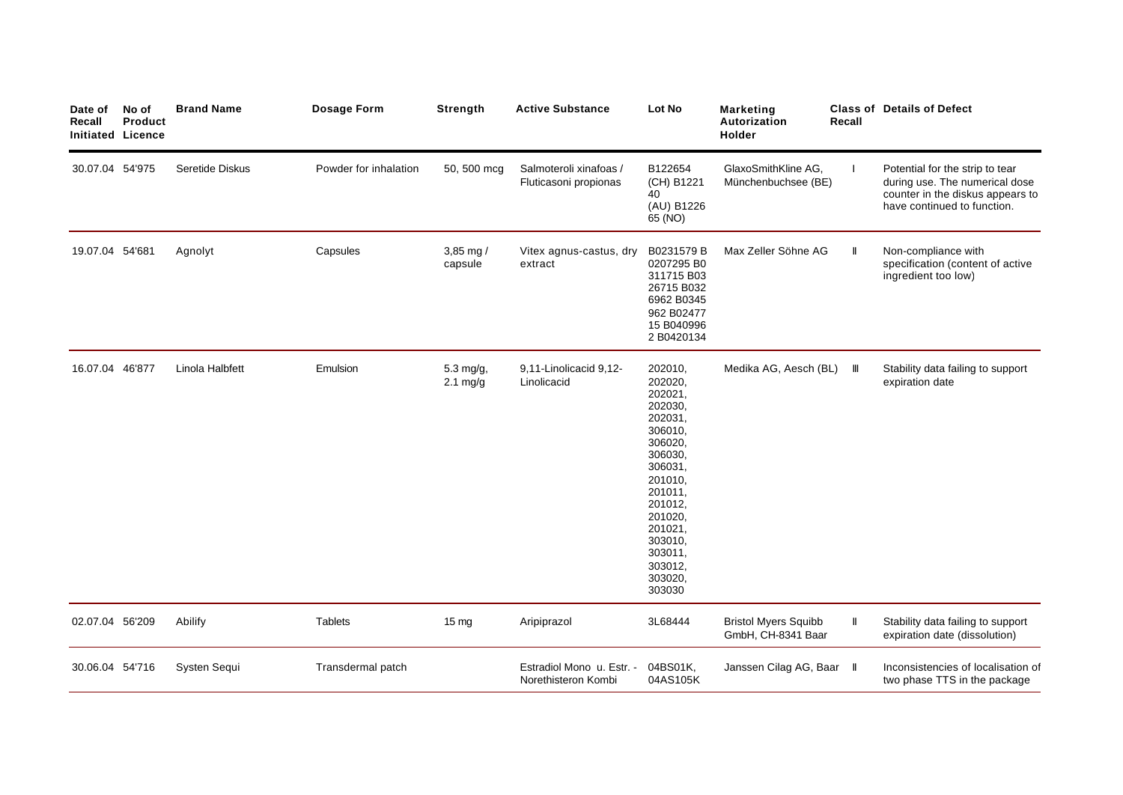| Date of<br>Recall | No of<br><b>Product</b><br><b>Initiated Licence</b> | <b>Brand Name</b> | Dosage Form           | <b>Strength</b>                 | <b>Active Substance</b>                          | Lot No                                                                                                                                                                                                       | <b>Marketing</b><br>Autorization<br>Holder        | Recall       | <b>Class of Details of Defect</b>                                                                                                    |
|-------------------|-----------------------------------------------------|-------------------|-----------------------|---------------------------------|--------------------------------------------------|--------------------------------------------------------------------------------------------------------------------------------------------------------------------------------------------------------------|---------------------------------------------------|--------------|--------------------------------------------------------------------------------------------------------------------------------------|
| 30.07.04 54'975   |                                                     | Seretide Diskus   | Powder for inhalation | 50, 500 mcg                     | Salmoteroli xinafoas /<br>Fluticasoni propionas  | B122654<br>(CH) B1221<br>40<br>(AU) B1226<br>65 (NO)                                                                                                                                                         | GlaxoSmithKline AG,<br>Münchenbuchsee (BE)        |              | Potential for the strip to tear<br>during use. The numerical dose<br>counter in the diskus appears to<br>have continued to function. |
| 19.07.04 54'681   |                                                     | Agnolyt           | Capsules              | 3,85 mg $/$<br>capsule          | Vitex agnus-castus, dry<br>extract               | B0231579 B<br>0207295 B0<br>311715 B03<br>26715 B032<br>6962 B0345<br>962 B02477<br>15 B040996<br>2 B0420134                                                                                                 | Max Zeller Söhne AG                               | $\mathbf{I}$ | Non-compliance with<br>specification (content of active<br>ingredient too low)                                                       |
| 16.07.04 46'877   |                                                     | Linola Halbfett   | Emulsion              | 5.3 mg/g,<br>$2.1 \text{ mg/g}$ | 9,11-Linolicacid 9,12-<br>Linolicacid            | 202010,<br>202020,<br>202021,<br>202030,<br>202031,<br>306010,<br>306020,<br>306030,<br>306031.<br>201010,<br>201011.<br>201012,<br>201020,<br>201021,<br>303010,<br>303011,<br>303012,<br>303020,<br>303030 | Medika AG, Aesch (BL)                             | Ш            | Stability data failing to support<br>expiration date                                                                                 |
| 02.07.04 56'209   |                                                     | Abilify           | <b>Tablets</b>        | $15 \text{ mg}$                 | Aripiprazol                                      | 3L68444                                                                                                                                                                                                      | <b>Bristol Myers Squibb</b><br>GmbH, CH-8341 Baar | Ш            | Stability data failing to support<br>expiration date (dissolution)                                                                   |
| 30.06.04 54'716   |                                                     | Systen Sequi      | Transdermal patch     |                                 | Estradiol Mono u. Estr. -<br>Norethisteron Kombi | 04BS01K,<br>04AS105K                                                                                                                                                                                         | Janssen Cilag AG, Baar II                         |              | Inconsistencies of localisation of<br>two phase TTS in the package                                                                   |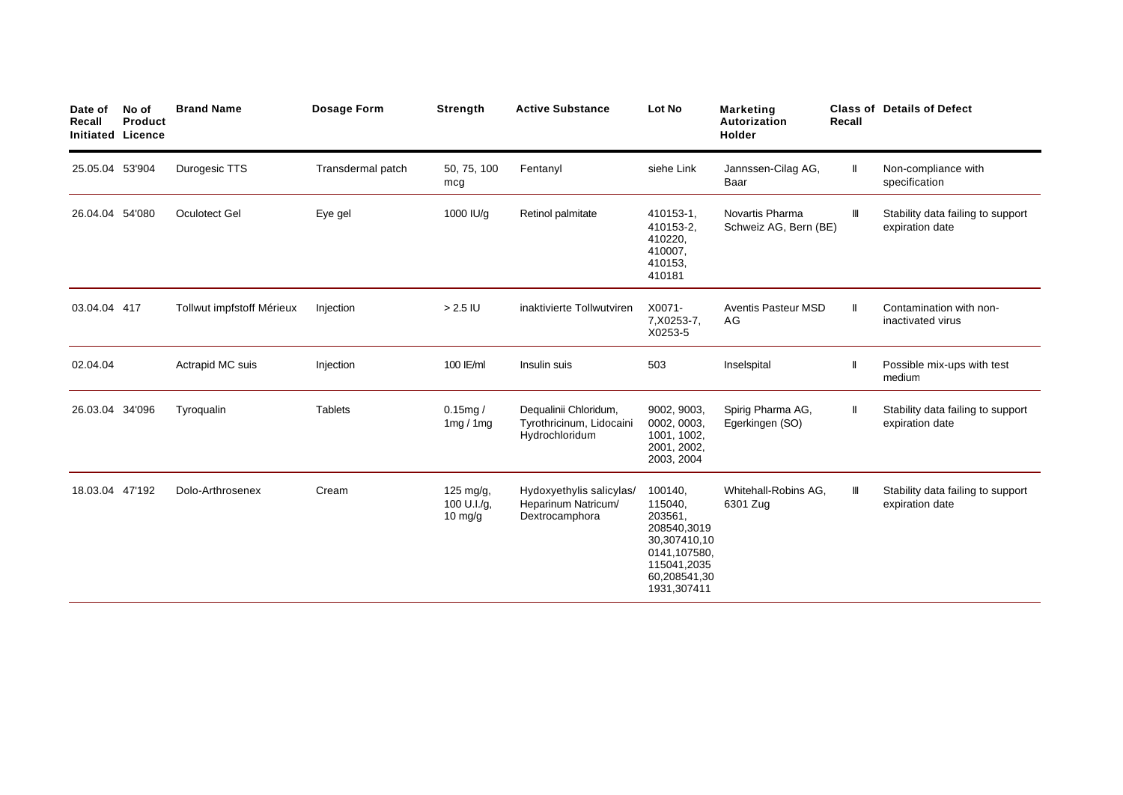| Date of<br>Recall<br>Initiated Licence | No of<br>Product | <b>Brand Name</b>         | Dosage Form       | Strength                            | <b>Active Substance</b>                                             | Lot No                                                                                                                     | <b>Marketing</b><br>Autorization<br><b>Holder</b> | Recall       | <b>Class of Details of Defect</b>                    |
|----------------------------------------|------------------|---------------------------|-------------------|-------------------------------------|---------------------------------------------------------------------|----------------------------------------------------------------------------------------------------------------------------|---------------------------------------------------|--------------|------------------------------------------------------|
| 25.05.04 53'904                        |                  | Durogesic TTS             | Transdermal patch | 50, 75, 100<br>mcg                  | Fentanyl                                                            | siehe Link                                                                                                                 | Jannssen-Cilag AG,<br>Baar                        | Ш            | Non-compliance with<br>specification                 |
| 26.04.04 54'080                        |                  | Oculotect Gel             | Eye gel           | 1000 IU/g                           | Retinol palmitate                                                   | 410153-1,<br>410153-2.<br>410220,<br>410007,<br>410153,<br>410181                                                          | Novartis Pharma<br>Schweiz AG, Bern (BE)          | Ш            | Stability data failing to support<br>expiration date |
| 03.04.04 417                           |                  | Tollwut impfstoff Mérieux | Injection         | $> 2.5$ IU                          | inaktivierte Tollwutviren                                           | X0071-<br>7, X0253-7,<br>X0253-5                                                                                           | <b>Aventis Pasteur MSD</b><br>AG                  | Ш            | Contamination with non-<br>inactivated virus         |
| 02.04.04                               |                  | Actrapid MC suis          | Injection         | 100 IE/ml                           | Insulin suis                                                        | 503                                                                                                                        | Inselspital                                       | $\mathsf{I}$ | Possible mix-ups with test<br>medium                 |
| 26.03.04 34'096                        |                  | Tyroqualin                | <b>Tablets</b>    | 0.15mg/<br>1mg/1mg                  | Dequalinii Chloridum,<br>Tyrothricinum, Lidocaini<br>Hydrochloridum | 9002, 9003,<br>0002, 0003,<br>1001, 1002,<br>2001, 2002,<br>2003, 2004                                                     | Spirig Pharma AG,<br>Egerkingen (SO)              | $\mathbf l$  | Stability data failing to support<br>expiration date |
| 18.03.04 47'192                        |                  | Dolo-Arthrosenex          | Cream             | 125 mg/g,<br>100 U.I./g,<br>10 mg/g | Hydoxyethylis salicylas/<br>Heparinum Natricum/<br>Dextrocamphora   | 100140,<br>115040,<br>203561,<br>208540,3019<br>30,307410,10<br>0141,107580,<br>115041,2035<br>60,208541,30<br>1931,307411 | Whitehall-Robins AG,<br>6301 Zug                  | Ш            | Stability data failing to support<br>expiration date |